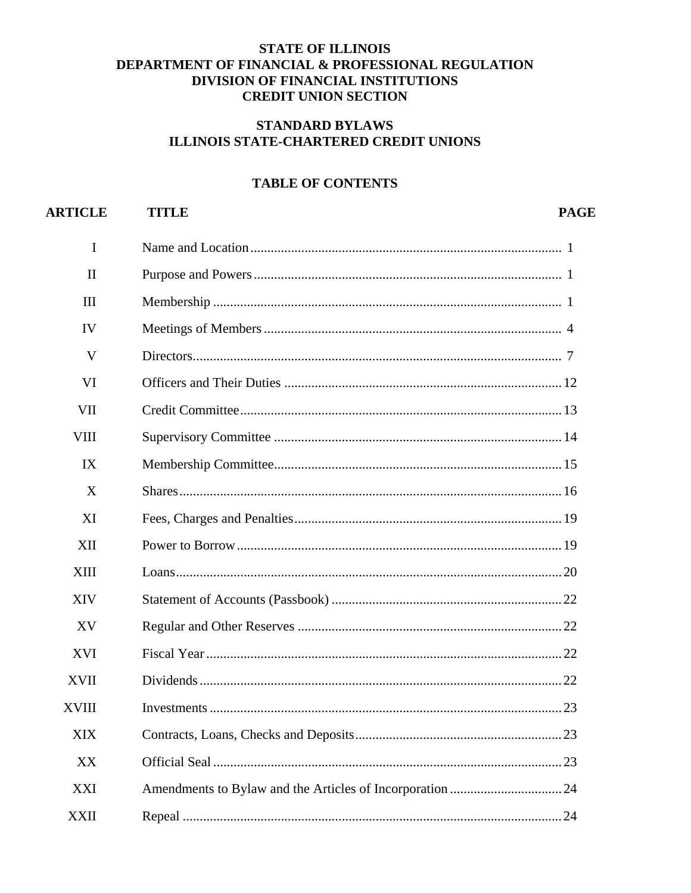# **STATE OF ILLINOIS DEPARTMENT OF FINANCIAL & PROFESSIONAL REGULATION DIVISION OF FINANCIAL INSTITUTIONS CREDIT UNION SECTION**

## **STANDARD BYLAWS ILLINOIS STATE-CHARTERED CREDIT UNIONS**

## **TABLE OF CONTENTS**

#### **ARTICLE PAGE TITLE**  $\mathbf{I}$  $\Pi$ **III IV**  $\mathbf{V}$ **VI** VII **VIII** IX  $\overline{X}$ **XI XII XIII XIV** XV **XVI XVII XVIII XIX XX XXI XXII**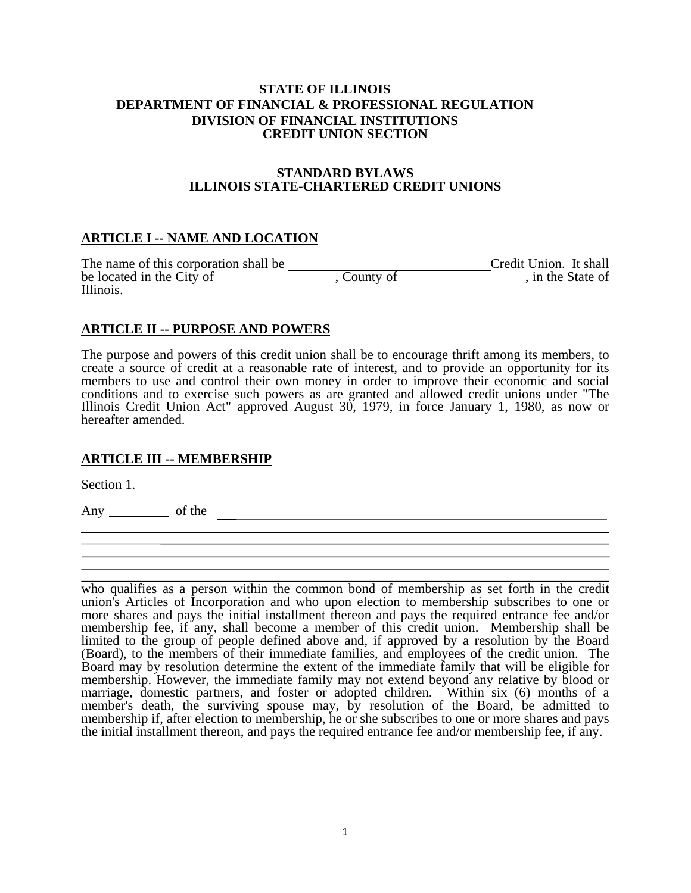## **STATE OF ILLINOIS DEPARTMENT OF FINANCIAL & PROFESSIONAL REGULATION DIVISION OF FINANCIAL INSTITUTIONS CREDIT UNION SECTION**

### **STANDARD BYLAWS ILLINOIS STATE-CHARTERED CREDIT UNIONS**

# **ARTICLE I -- NAME AND LOCATION**

The name of this corporation shall be Credit Union. It shall be located in the City of , County of , in the State of Illinois.

# **ARTICLE II -- PURPOSE AND POWERS**

The purpose and powers of this credit union shall be to encourage thrift among its members, to create a source of credit at a reasonable rate of interest, and to provide an opportunity for its members to use and control their own money in order to improve their economic and social conditions and to exercise such powers as are granted and allowed credit unions under "The Illinois Credit Union Act" approved August 30, 1979, in force January 1, 1980, as now or hereafter amended.

## **ARTICLE III -- MEMBERSHIP**

Section 1.

Any of the

 who qualifies as a person within the common bond of membership as set forth in the credit union's Articles of Incorporation and who upon election to membership subscribes to one or more shares and pays the initial installment thereon and pays the required entrance fee and/or membership fee, if any, shall become a member of this credit union. Membership shall be limited to the group of people defined above and, if approved by a resolution by the Board (Board), to the members of their immediate families, and employees of the credit union. The Board may by resolution determine the extent of the immediate family that will be eligible for membership. However, the immediate family may not extend beyond any relative by blood or marriage, domestic partners, and foster or adopted children. Within six (6) months of a member's death, the surviving spouse may, by resolution of the Board, be admitted to membership if, after election to membership, he or she subscribes to one or more shares and pays the initial installment thereon, and pays the required entrance fee and/or membership fee, if any.

٦ ׇׅ֞֘֝֬֝֘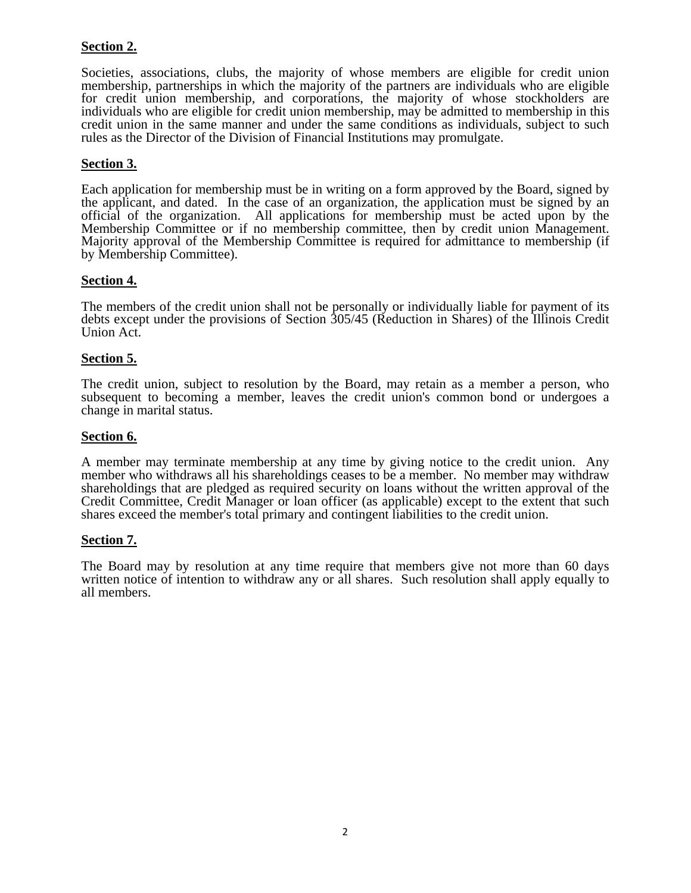# **Section 2.**

Societies, associations, clubs, the majority of whose members are eligible for credit union membership, partnerships in which the majority of the partners are individuals who are eligible for credit union membership, and corporations, the majority of whose stockholders are individuals who are eligible for credit union membership, may be admitted to membership in this credit union in the same manner and under the same conditions as individuals, subject to such rules as the Director of the Division of Financial Institutions may promulgate.

## **Section 3.**

Each application for membership must be in writing on a form approved by the Board, signed by the applicant, and dated. In the case of an organization, the application must be signed by an official of the organization. All applications for membership must be acted upon by the Membership Committee or if no membership committee, then by credit union Management. Majority approval of the Membership Committee is required for admittance to membership (if by Membership Committee).

## **Section 4.**

The members of the credit union shall not be personally or individually liable for payment of its debts except under the provisions of Section 305/45 (Reduction in Shares) of the Illinois Credit Union Act.

### **Section 5.**

The credit union, subject to resolution by the Board, may retain as a member a person, who subsequent to becoming a member, leaves the credit union's common bond or undergoes a change in marital status.

## **Section 6.**

A member may terminate membership at any time by giving notice to the credit union. Any member who withdraws all his shareholdings ceases to be a member. No member may withdraw shareholdings that are pledged as required security on loans without the written approval of the Credit Committee, Credit Manager or loan officer (as applicable) except to the extent that such shares exceed the member's total primary and contingent liabilities to the credit union.

### **Section 7.**

The Board may by resolution at any time require that members give not more than 60 days written notice of intention to withdraw any or all shares. Such resolution shall apply equally to all members.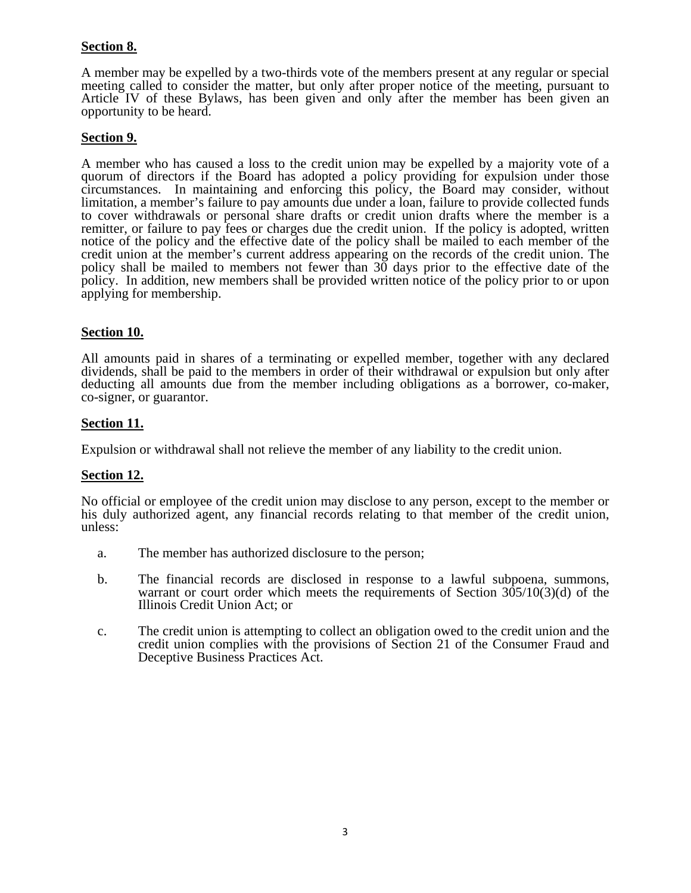# **Section 8.**

A member may be expelled by a two-thirds vote of the members present at any regular or special meeting called to consider the matter, but only after proper notice of the meeting, pursuant to Article IV of these Bylaws, has been given and only after the member has been given an opportunity to be heard.

## **Section 9.**

A member who has caused a loss to the credit union may be expelled by a majority vote of a quorum of directors if the Board has adopted a policy providing for expulsion under those circumstances. In maintaining and enforcing this policy, the Board may consider, without limitation, a member's failure to pay amounts due under a loan, failure to provide collected funds to cover withdrawals or personal share drafts or credit union drafts where the member is a remitter, or failure to pay fees or charges due the credit union. If the policy is adopted, written notice of the policy and the effective date of the policy shall be mailed to each member of the credit union at the member's current address appearing on the records of the credit union. The policy shall be mailed to members not fewer than  $30$  days prior to the effective date of the policy. In addition, new members shall be provided written notice of the policy prior to or upon applying for membership.

## **Section 10.**

All amounts paid in shares of a terminating or expelled member, together with any declared dividends, shall be paid to the members in order of their withdrawal or expulsion but only after deducting all amounts due from the member including obligations as a borrower, co-maker, co-signer, or guarantor.

## **Section 11.**

Expulsion or withdrawal shall not relieve the member of any liability to the credit union.

### **Section 12.**

No official or employee of the credit union may disclose to any person, except to the member or his duly authorized agent, any financial records relating to that member of the credit union, unless:

- a. The member has authorized disclosure to the person;
- b. The financial records are disclosed in response to a lawful subpoena, summons, warrant or court order which meets the requirements of Section  $305/10(3)(d)$  of the Illinois Credit Union Act; or
- c. The credit union is attempting to collect an obligation owed to the credit union and the credit union complies with the provisions of Section 21 of the Consumer Fraud and Deceptive Business Practices Act.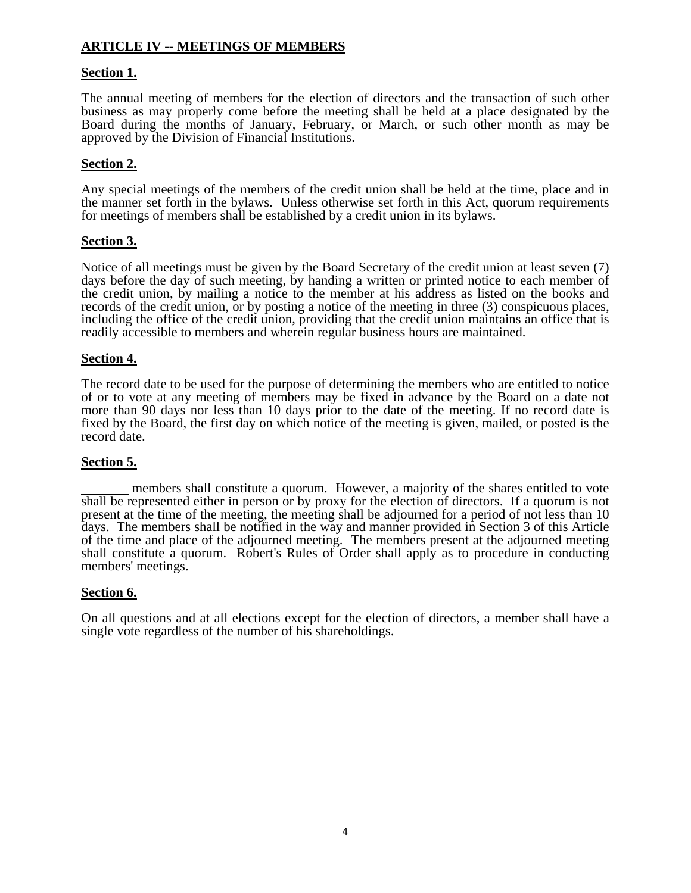# **ARTICLE IV -- MEETINGS OF MEMBERS**

## **Section 1.**

The annual meeting of members for the election of directors and the transaction of such other business as may properly come before the meeting shall be held at a place designated by the Board during the months of January, February, or March, or such other month as may be approved by the Division of Financial Institutions.

## **Section 2.**

Any special meetings of the members of the credit union shall be held at the time, place and in the manner set forth in the bylaws. Unless otherwise set forth in this Act, quorum requirements for meetings of members shall be established by a credit union in its bylaws.

## **Section 3.**

Notice of all meetings must be given by the Board Secretary of the credit union at least seven (7) days before the day of such meeting, by handing a written or printed notice to each member of the credit union, by mailing a notice to the member at his address as listed on the books and records of the credit union, or by posting a notice of the meeting in three (3) conspicuous places, including the office of the credit union, providing that the credit union maintains an office that is readily accessible to members and wherein regular business hours are maintained.

### **Section 4.**

The record date to be used for the purpose of determining the members who are entitled to notice of or to vote at any meeting of members may be fixed in advance by the Board on a date not more than 90 days nor less than 10 days prior to the date of the meeting. If no record date is fixed by the Board, the first day on which notice of the meeting is given, mailed, or posted is the record date.

### **Section 5.**

 members shall constitute a quorum. However, a majority of the shares entitled to vote shall be represented either in person or by proxy for the election of directors. If a quorum is not present at the time of the meeting, the meeting shall be adjourned for a period of not less than 10 days. The members shall be notified in the way and manner provided in Section 3 of this Article of the time and place of the adjourned meeting. The members present at the adjourned meeting shall constitute a quorum. Robert's Rules of Order shall apply as to procedure in conducting members' meetings.

### **Section 6.**

On all questions and at all elections except for the election of directors, a member shall have a single vote regardless of the number of his shareholdings.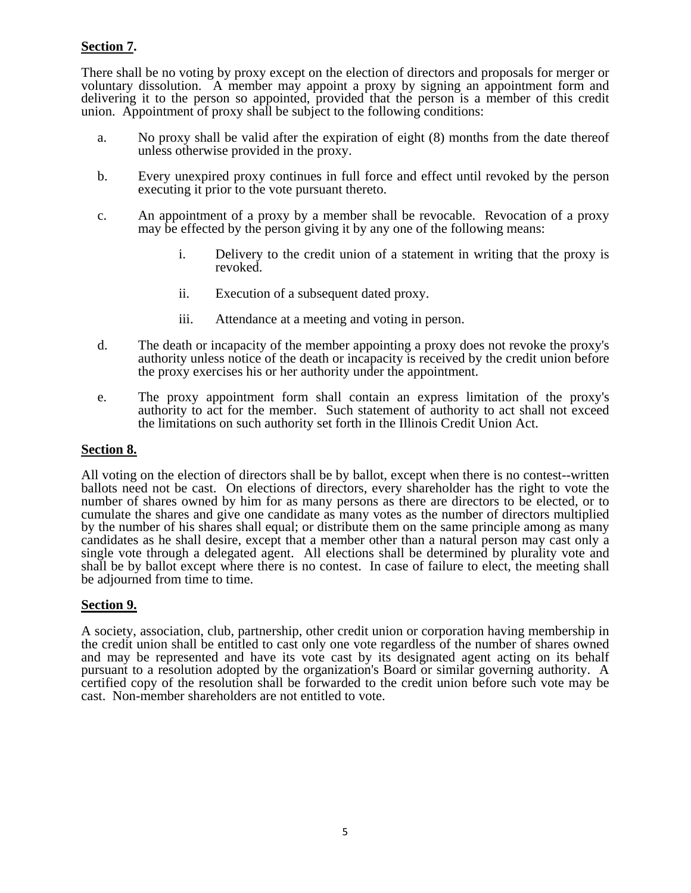# **Section 7.**

There shall be no voting by proxy except on the election of directors and proposals for merger or voluntary dissolution. A member may appoint a proxy by signing an appointment form and delivering it to the person so appointed, provided that the person is a member of this credit union. Appointment of proxy shall be subject to the following conditions:

- a. No proxy shall be valid after the expiration of eight (8) months from the date thereof unless otherwise provided in the proxy.
- b. Every unexpired proxy continues in full force and effect until revoked by the person executing it prior to the vote pursuant thereto.
- c. An appointment of a proxy by a member shall be revocable. Revocation of a proxy may be effected by the person giving it by any one of the following means:
	- i. Delivery to the credit union of a statement in writing that the proxy is revoked.
	- ii. Execution of a subsequent dated proxy.
	- iii. Attendance at a meeting and voting in person.
- d. The death or incapacity of the member appointing a proxy does not revoke the proxy's authority unless notice of the death or incapacity is received by the credit union before the proxy exercises his or her authority under the appointment.
- e. The proxy appointment form shall contain an express limitation of the proxy's authority to act for the member. Such statement of authority to act shall not exceed the limitations on such authority set forth in the Illinois Credit Union Act.

## **Section 8.**

All voting on the election of directors shall be by ballot, except when there is no contest--written ballots need not be cast. On elections of directors, every shareholder has the right to vote the number of shares owned by him for as many persons as there are directors to be elected, or to cumulate the shares and give one candidate as many votes as the number of directors multiplied by the number of his shares shall equal; or distribute them on the same principle among as many candidates as he shall desire, except that a member other than a natural person may cast only a single vote through a delegated agent. All elections shall be determined by plurality vote and shall be by ballot except where there is no contest. In case of failure to elect, the meeting shall be adjourned from time to time.

### **Section 9.**

A society, association, club, partnership, other credit union or corporation having membership in the credit union shall be entitled to cast only one vote regardless of the number of shares owned and may be represented and have its vote cast by its designated agent acting on its behalf pursuant to a resolution adopted by the organization's Board or similar governing authority. A certified copy of the resolution shall be forwarded to the credit union before such vote may be cast. Non-member shareholders are not entitled to vote.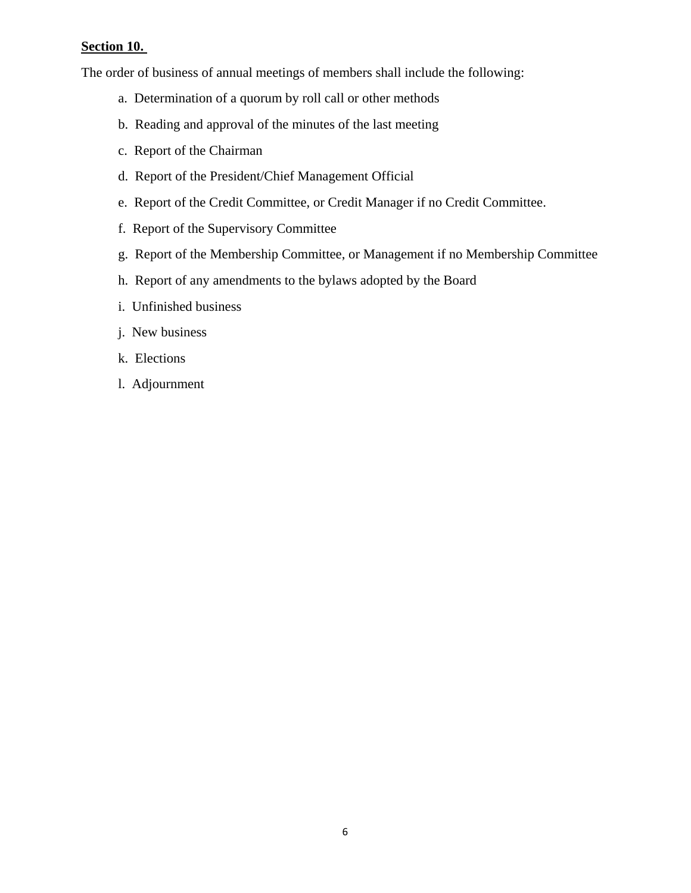## **Section 10.**

The order of business of annual meetings of members shall include the following:

- a. Determination of a quorum by roll call or other methods
- b. Reading and approval of the minutes of the last meeting
- c. Report of the Chairman
- d. Report of the President/Chief Management Official
- e. Report of the Credit Committee, or Credit Manager if no Credit Committee.
- f. Report of the Supervisory Committee
- g. Report of the Membership Committee, or Management if no Membership Committee
- h. Report of any amendments to the bylaws adopted by the Board
- i. Unfinished business
- j. New business
- k. Elections
- l. Adjournment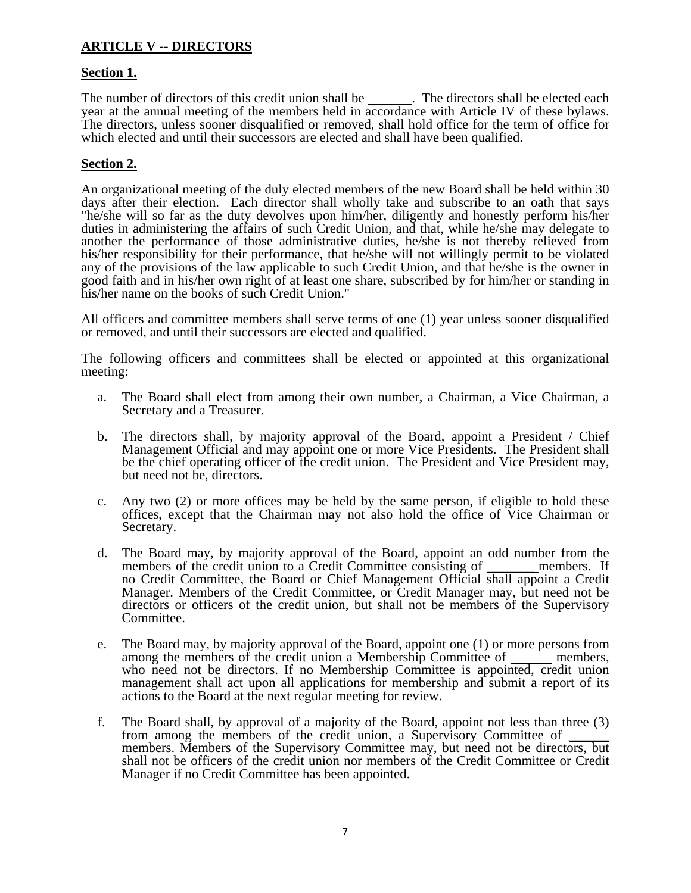# **ARTICLE V -- DIRECTORS**

## **Section 1.**

The number of directors of this credit union shall be \_\_\_\_\_\_\_. The directors shall be elected each year at the annual meeting of the members held in accordance with Article IV of these bylaws. The directors, unless sooner disqualified or removed, shall hold office for the term of office for which elected and until their successors are elected and shall have been qualified.

## **Section 2.**

An organizational meeting of the duly elected members of the new Board shall be held within 30 days after their election. Each director shall wholly take and subscribe to an oath that says "he/she will so far as the duty devolves upon him/her, diligently and honestly perform his/her duties in administering the affairs of such Credit Union, and that, while he/she may delegate to another the performance of those administrative duties, he/she is not thereby relieved from his/her responsibility for their performance, that he/she will not willingly permit to be violated any of the provisions of the law applicable to such Credit Union, and that he/she is the owner in good faith and in his/her own right of at least one share, subscribed by for him/her or standing in his/her name on the books of such Credit Union."

All officers and committee members shall serve terms of one (1) year unless sooner disqualified or removed, and until their successors are elected and qualified.

The following officers and committees shall be elected or appointed at this organizational meeting:

- a. The Board shall elect from among their own number, a Chairman, a Vice Chairman, a Secretary and a Treasurer.
- b. The directors shall, by majority approval of the Board, appoint a President / Chief Management Official and may appoint one or more Vice Presidents. The President shall be the chief operating officer of the credit union. The President and Vice President may, but need not be, directors.
- c. Any two (2) or more offices may be held by the same person, if eligible to hold these offices, except that the Chairman may not also hold the office of Vice Chairman or Secretary.
- d. The Board may, by majority approval of the Board, appoint an odd number from the members of the credit union to a Credit Committee consisting of \_\_\_\_\_\_\_ members. If no Credit Committee, the Board or Chief Management Official shall appoint a Credit Manager. Members of the Credit Committee, or Credit Manager may, but need not be directors or officers of the credit union, but shall not be members of the Supervisory Committee.
- e. The Board may, by majority approval of the Board, appoint one (1) or more persons from among the members of the credit union a Membership Committee of members, who need not be directors. If no Membership Committee is appointed, credit union management shall act upon all applications for membership and submit a report of its actions to the Board at the next regular meeting for review.
- f. The Board shall, by approval of a majority of the Board, appoint not less than three (3) from among the members of the credit union, a Supervisory Committee of \_\_\_\_\_\_ members. Members of the Supervisory Committee may, but need not be directors, but shall not be officers of the credit union nor members of the Credit Committee or Credit Manager if no Credit Committee has been appointed.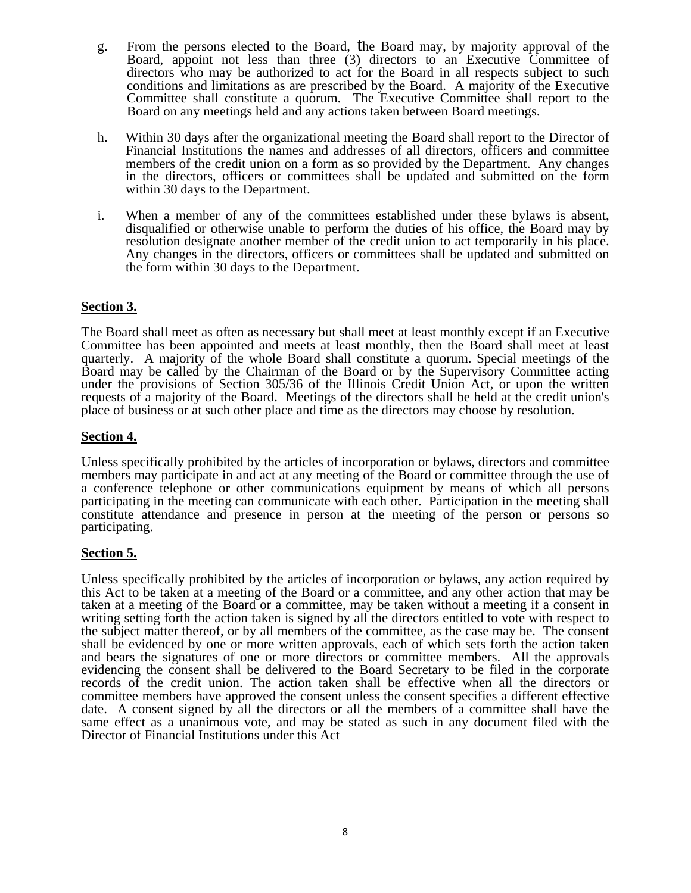- g. From the persons elected to the Board, the Board may, by majority approval of the Board, appoint not less than three (3) directors to an Executive Committee of directors who may be authorized to act for the Board in all respects subject to such conditions and limitations as are prescribed by the Board. A majority of the Executive Committee shall constitute a quorum. The Executive Committee shall report to the Board on any meetings held and any actions taken between Board meetings.
- h. Within 30 days after the organizational meeting the Board shall report to the Director of Financial Institutions the names and addresses of all directors, officers and committee members of the credit union on a form as so provided by the Department. Any changes in the directors, officers or committees shall be updated and submitted on the form within 30 days to the Department.
- i. When a member of any of the committees established under these bylaws is absent, disqualified or otherwise unable to perform the duties of his office, the Board may by resolution designate another member of the credit union to act temporarily in his place. Any changes in the directors, officers or committees shall be updated and submitted on the form within 30 days to the Department.

# **Section 3.**

The Board shall meet as often as necessary but shall meet at least monthly except if an Executive Committee has been appointed and meets at least monthly, then the Board shall meet at least quarterly. A majority of the whole Board shall constitute a quorum. Special meetings of the Board may be called by the Chairman of the Board or by the Supervisory Committee acting under the provisions of Section 305/36 of the Illinois Credit Union Act, or upon the written requests of a majority of the Board. Meetings of the directors shall be held at the credit union's place of business or at such other place and time as the directors may choose by resolution.

## **Section 4.**

Unless specifically prohibited by the articles of incorporation or bylaws, directors and committee members may participate in and act at any meeting of the Board or committee through the use of a conference telephone or other communications equipment by means of which all persons participating in the meeting can communicate with each other. Participation in the meeting shall constitute attendance and presence in person at the meeting of the person or persons so participating.

## **Section 5.**

Unless specifically prohibited by the articles of incorporation or bylaws, any action required by this Act to be taken at a meeting of the Board or a committee, and any other action that may be taken at a meeting of the Board or a committee, may be taken without a meeting if a consent in writing setting forth the action taken is signed by all the directors entitled to vote with respect to the subject matter thereof, or by all members of the committee, as the case may be. The consent shall be evidenced by one or more written approvals, each of which sets forth the action taken and bears the signatures of one or more directors or committee members. All the approvals evidencing the consent shall be delivered to the Board Secretary to be filed in the corporate records of the credit union. The action taken shall be effective when all the directors or committee members have approved the consent unless the consent specifies a different effective date. A consent signed by all the directors or all the members of a committee shall have the same effect as a unanimous vote, and may be stated as such in any document filed with the Director of Financial Institutions under this Act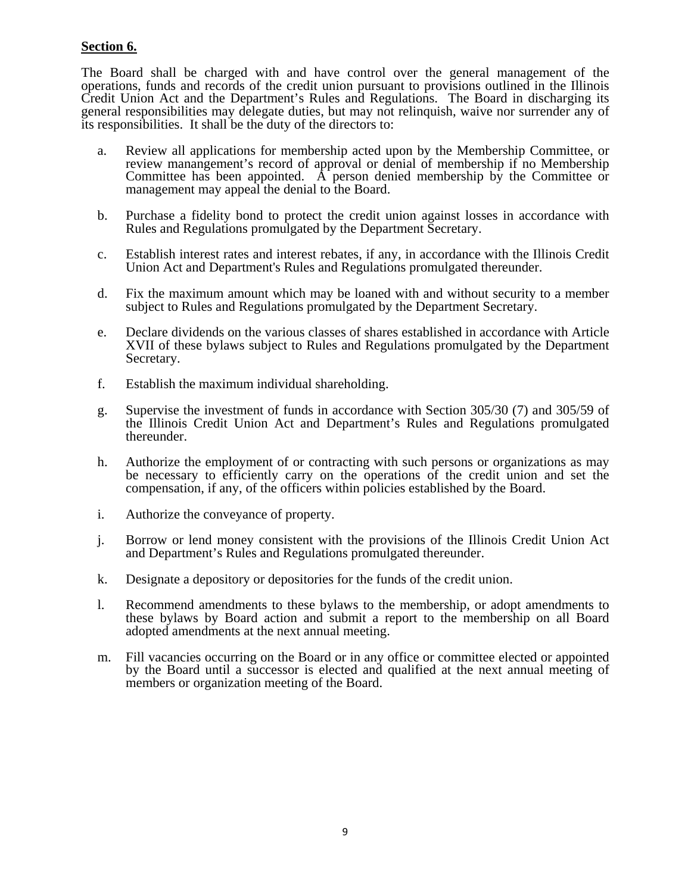## **Section 6.**

The Board shall be charged with and have control over the general management of the operations, funds and records of the credit union pursuant to provisions outlined in the Illinois Credit Union Act and the Department's Rules and Regulations. The Board in discharging its general responsibilities may delegate duties, but may not relinquish, waive nor surrender any of its responsibilities. It shall be the duty of the directors to:

- a. Review all applications for membership acted upon by the Membership Committee, or review manangement's record of approval or denial of membership if no Membership Committee has been appointed. A person denied membership by the Committee or management may appeal the denial to the Board.
- b. Purchase a fidelity bond to protect the credit union against losses in accordance with Rules and Regulations promulgated by the Department Secretary.
- c. Establish interest rates and interest rebates, if any, in accordance with the Illinois Credit Union Act and Department's Rules and Regulations promulgated thereunder.
- d. Fix the maximum amount which may be loaned with and without security to a member subject to Rules and Regulations promulgated by the Department Secretary.
- e. Declare dividends on the various classes of shares established in accordance with Article XVII of these bylaws subject to Rules and Regulations promulgated by the Department Secretary.
- f. Establish the maximum individual shareholding.
- g. Supervise the investment of funds in accordance with Section 305/30 (7) and 305/59 of the Illinois Credit Union Act and Department's Rules and Regulations promulgated thereunder.
- h. Authorize the employment of or contracting with such persons or organizations as may be necessary to efficiently carry on the operations of the credit union and set the compensation, if any, of the officers within policies established by the Board.
- i. Authorize the conveyance of property.
- j. Borrow or lend money consistent with the provisions of the Illinois Credit Union Act and Department's Rules and Regulations promulgated thereunder.
- k. Designate a depository or depositories for the funds of the credit union.
- l. Recommend amendments to these bylaws to the membership, or adopt amendments to these bylaws by Board action and submit a report to the membership on all Board adopted amendments at the next annual meeting.
- m. Fill vacancies occurring on the Board or in any office or committee elected or appointed by the Board until a successor is elected and qualified at the next annual meeting of members or organization meeting of the Board.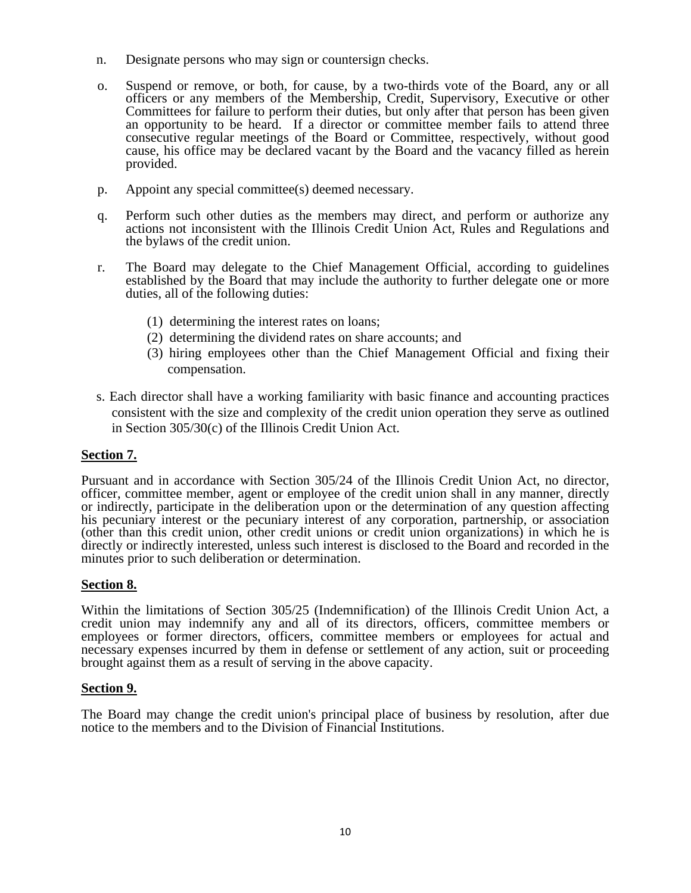- n. Designate persons who may sign or countersign checks.
- o. Suspend or remove, or both, for cause, by a two-thirds vote of the Board, any or all officers or any members of the Membership, Credit, Supervisory, Executive or other Committees for failure to perform their duties, but only after that person has been given an opportunity to be heard. If a director or committee member fails to attend three consecutive regular meetings of the Board or Committee, respectively, without good cause, his office may be declared vacant by the Board and the vacancy filled as herein provided.
- p. Appoint any special committee(s) deemed necessary.
- q. Perform such other duties as the members may direct, and perform or authorize any actions not inconsistent with the Illinois Credit Union Act, Rules and Regulations and the bylaws of the credit union.
- r. The Board may delegate to the Chief Management Official, according to guidelines established by the Board that may include the authority to further delegate one or more duties, all of the following duties:
	- (1) determining the interest rates on loans;
	- (2) determining the dividend rates on share accounts; and
	- (3) hiring employees other than the Chief Management Official and fixing their compensation.
- s. Each director shall have a working familiarity with basic finance and accounting practices consistent with the size and complexity of the credit union operation they serve as outlined in Section 305/30(c) of the Illinois Credit Union Act.

## **Section 7.**

Pursuant and in accordance with Section 305/24 of the Illinois Credit Union Act, no director, officer, committee member, agent or employee of the credit union shall in any manner, directly or indirectly, participate in the deliberation upon or the determination of any question affecting his pecuniary interest or the pecuniary interest of any corporation, partnership, or association (other than this credit union, other credit unions or credit union organizations) in which he is directly or indirectly interested, unless such interest is disclosed to the Board and recorded in the minutes prior to such deliberation or determination.

## **Section 8.**

Within the limitations of Section 305/25 (Indemnification) of the Illinois Credit Union Act, a credit union may indemnify any and all of its directors, officers, committee members or employees or former directors, officers, committee members or employees for actual and necessary expenses incurred by them in defense or settlement of any action, suit or proceeding brought against them as a result of serving in the above capacity.

### **Section 9.**

The Board may change the credit union's principal place of business by resolution, after due notice to the members and to the Division of Financial Institutions.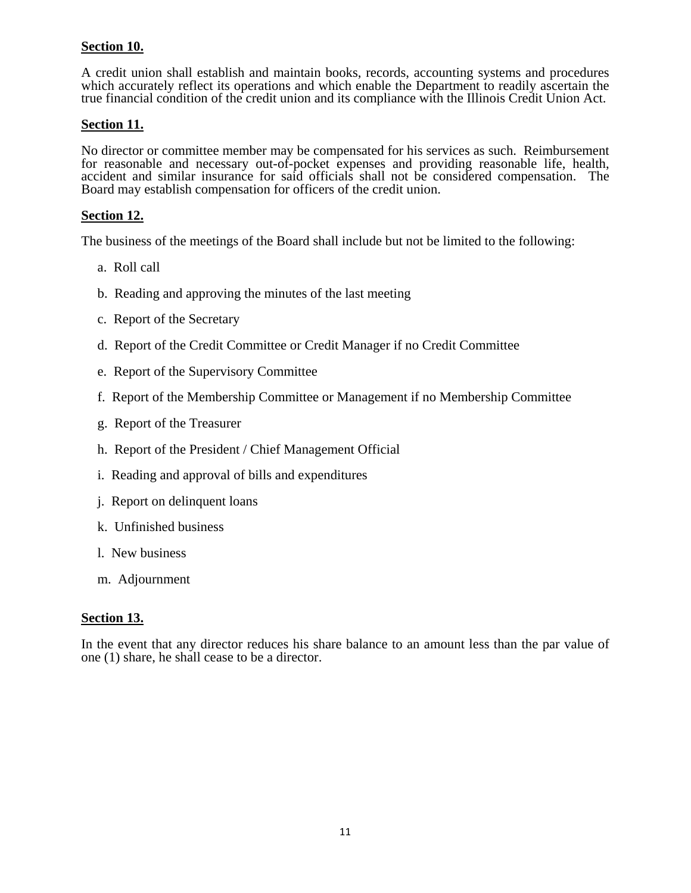# **Section 10.**

A credit union shall establish and maintain books, records, accounting systems and procedures which accurately reflect its operations and which enable the Department to readily ascertain the true financial condition of the credit union and its compliance with the Illinois Credit Union Act.

## **Section 11.**

No director or committee member may be compensated for his services as such. Reimbursement for reasonable and necessary out-of-pocket expenses and providing reasonable life, health, accident and similar insurance for said officials shall not be considered compensation. The Board may establish compensation for officers of the credit union.

## **Section 12.**

The business of the meetings of the Board shall include but not be limited to the following:

- a. Roll call
- b. Reading and approving the minutes of the last meeting
- c. Report of the Secretary
- d. Report of the Credit Committee or Credit Manager if no Credit Committee
- e. Report of the Supervisory Committee
- f. Report of the Membership Committee or Management if no Membership Committee
- g. Report of the Treasurer
- h. Report of the President / Chief Management Official
- i. Reading and approval of bills and expenditures
- j. Report on delinquent loans
- k. Unfinished business
- l. New business
- m. Adjournment

## **Section 13.**

In the event that any director reduces his share balance to an amount less than the par value of one (1) share, he shall cease to be a director.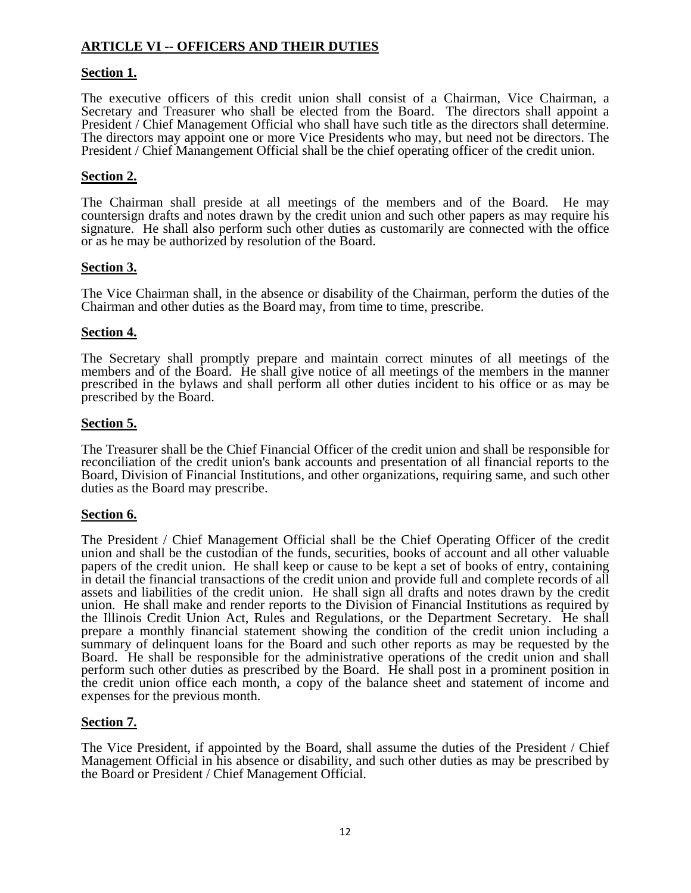# **ARTICLE VI -- OFFICERS AND THEIR DUTIES**

## **Section 1.**

The executive officers of this credit union shall consist of a Chairman, Vice Chairman, a Secretary and Treasurer who shall be elected from the Board. The directors shall appoint a President / Chief Management Official who shall have such title as the directors shall determine. The directors may appoint one or more Vice Presidents who may, but need not be directors. The President / Chief Manangement Official shall be the chief operating officer of the credit union.

## **Section 2.**

The Chairman shall preside at all meetings of the members and of the Board. He may countersign drafts and notes drawn by the credit union and such other papers as may require his signature. He shall also perform such other duties as customarily are connected with the office or as he may be authorized by resolution of the Board.

## **Section 3.**

The Vice Chairman shall, in the absence or disability of the Chairman, perform the duties of the Chairman and other duties as the Board may, from time to time, prescribe.

### **Section 4.**

The Secretary shall promptly prepare and maintain correct minutes of all meetings of the members and of the Board. He shall give notice of all meetings of the members in the manner prescribed in the bylaws and shall perform all other duties incident to his office or as may be prescribed by the Board.

### **Section 5.**

The Treasurer shall be the Chief Financial Officer of the credit union and shall be responsible for reconciliation of the credit union's bank accounts and presentation of all financial reports to the Board, Division of Financial Institutions, and other organizations, requiring same, and such other duties as the Board may prescribe.

### **Section 6.**

The President / Chief Management Official shall be the Chief Operating Officer of the credit union and shall be the custodian of the funds, securities, books of account and all other valuable papers of the credit union. He shall keep or cause to be kept a set of books of entry, containing in detail the financial transactions of the credit union and provide full and complete records of all assets and liabilities of the credit union. He shall sign all drafts and notes drawn by the credit union. He shall make and render reports to the Division of Financial Institutions as required by the Illinois Credit Union Act, Rules and Regulations, or the Department Secretary. He shall prepare a monthly financial statement showing the condition of the credit union including a summary of delinquent loans for the Board and such other reports as may be requested by the Board. He shall be responsible for the administrative operations of the credit union and shall perform such other duties as prescribed by the Board. He shall post in a prominent position in the credit union office each month, a copy of the balance sheet and statement of income and expenses for the previous month.

## **Section 7.**

The Vice President, if appointed by the Board, shall assume the duties of the President / Chief Management Official in his absence or disability, and such other duties as may be prescribed by the Board or President / Chief Management Official.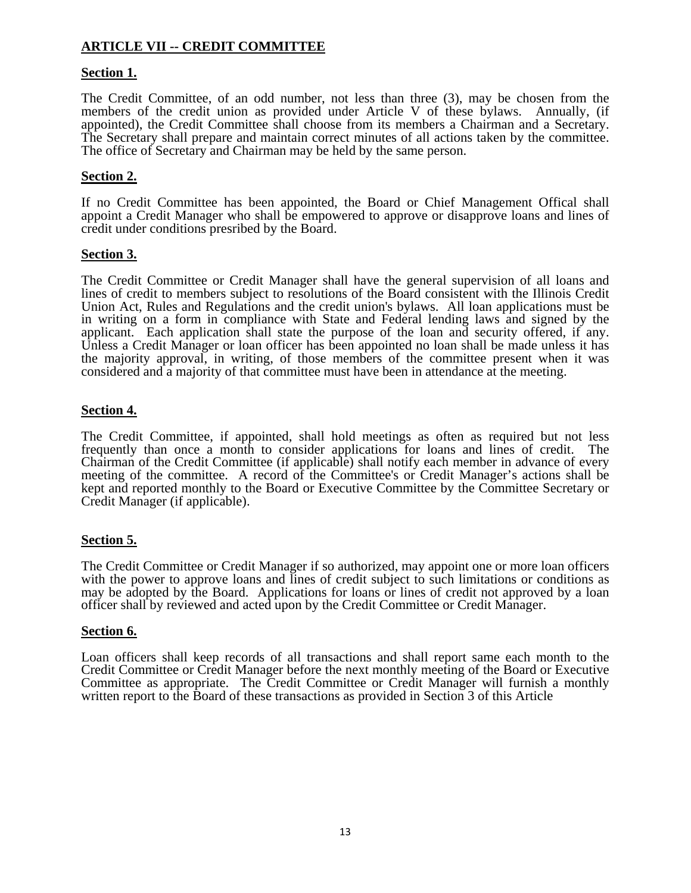# **ARTICLE VII -- CREDIT COMMITTEE**

## **Section 1.**

The Credit Committee, of an odd number, not less than three (3), may be chosen from the members of the credit union as provided under Article V of these bylaws. Annually, (if appointed), the Credit Committee shall choose from its members a Chairman and a Secretary. The Secretary shall prepare and maintain correct minutes of all actions taken by the committee. The office of Secretary and Chairman may be held by the same person.

## **Section 2.**

If no Credit Committee has been appointed, the Board or Chief Management Offical shall appoint a Credit Manager who shall be empowered to approve or disapprove loans and lines of credit under conditions presribed by the Board.

## **Section 3.**

The Credit Committee or Credit Manager shall have the general supervision of all loans and lines of credit to members subject to resolutions of the Board consistent with the Illinois Credit Union Act, Rules and Regulations and the credit union's bylaws. All loan applications must be in writing on a form in compliance with State and Federal lending laws and signed by the applicant. Each application shall state the purpose of the loan and security offered, if any. Unless a Credit Manager or loan officer has been appointed no loan shall be made unless it has the majority approval, in writing, of those members of the committee present when it was considered and a majority of that committee must have been in attendance at the meeting.

## **Section 4.**

The Credit Committee, if appointed, shall hold meetings as often as required but not less frequently than once a month to consider applications for loans and lines of credit. The Chairman of the Credit Committee (if applicable) shall notify each member in advance of every meeting of the committee. A record of the Committee's or Credit Manager's actions shall be kept and reported monthly to the Board or Executive Committee by the Committee Secretary or Credit Manager (if applicable).

## **Section 5.**

The Credit Committee or Credit Manager if so authorized, may appoint one or more loan officers with the power to approve loans and lines of credit subject to such limitations or conditions as may be adopted by the Board. Applications for loans or lines of credit not approved by a loan officer shall by reviewed and acted upon by the Credit Committee or Credit Manager.

### **Section 6.**

Loan officers shall keep records of all transactions and shall report same each month to the Credit Committee or Credit Manager before the next monthly meeting of the Board or Executive Committee as appropriate. The Credit Committee or Credit Manager will furnish a monthly written report to the Board of these transactions as provided in Section 3 of this Article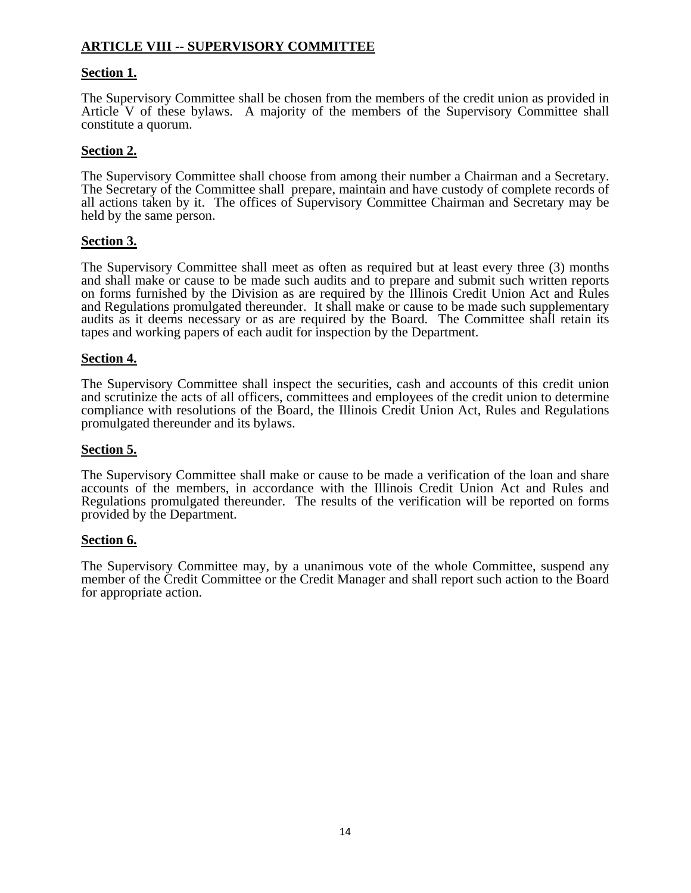# **ARTICLE VIII -- SUPERVISORY COMMITTEE**

## **Section 1.**

The Supervisory Committee shall be chosen from the members of the credit union as provided in Article V of these bylaws. A majority of the members of the Supervisory Committee shall constitute a quorum.

## **Section 2.**

The Supervisory Committee shall choose from among their number a Chairman and a Secretary. The Secretary of the Committee shall prepare, maintain and have custody of complete records of all actions taken by it. The offices of Supervisory Committee Chairman and Secretary may be held by the same person.

## **Section 3.**

The Supervisory Committee shall meet as often as required but at least every three (3) months and shall make or cause to be made such audits and to prepare and submit such written reports on forms furnished by the Division as are required by the Illinois Credit Union Act and Rules and Regulations promulgated thereunder. It shall make or cause to be made such supplementary audits as it deems necessary or as are required by the Board. The Committee shall retain its tapes and working papers of each audit for inspection by the Department.

### **Section 4.**

The Supervisory Committee shall inspect the securities, cash and accounts of this credit union and scrutinize the acts of all officers, committees and employees of the credit union to determine compliance with resolutions of the Board, the Illinois Credit Union Act, Rules and Regulations promulgated thereunder and its bylaws.

### **Section 5.**

The Supervisory Committee shall make or cause to be made a verification of the loan and share accounts of the members, in accordance with the Illinois Credit Union Act and Rules and Regulations promulgated thereunder. The results of the verification will be reported on forms provided by the Department.

### **Section 6.**

The Supervisory Committee may, by a unanimous vote of the whole Committee, suspend any member of the Credit Committee or the Credit Manager and shall report such action to the Board for appropriate action.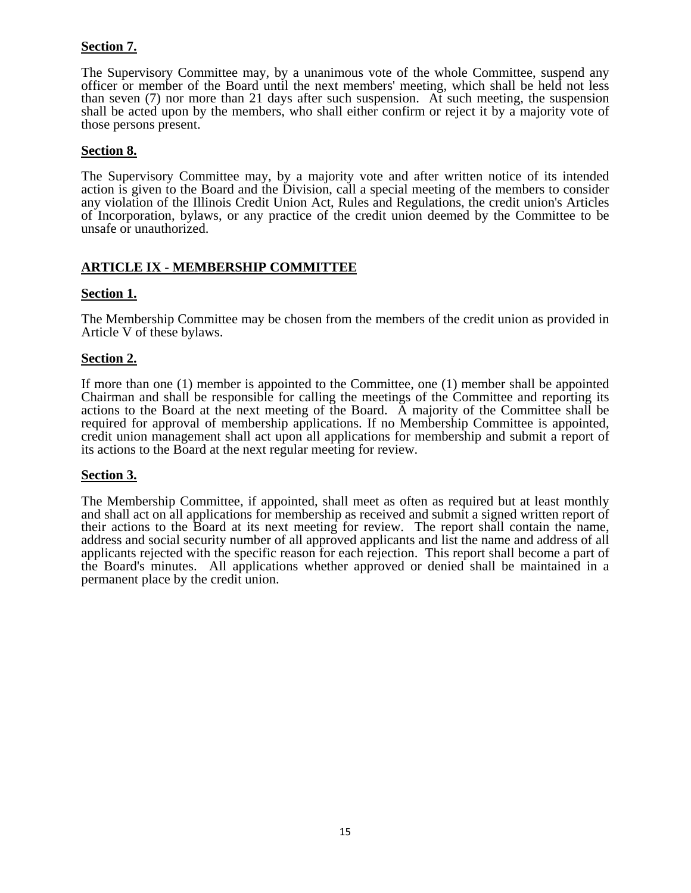# **Section 7.**

The Supervisory Committee may, by a unanimous vote of the whole Committee, suspend any officer or member of the Board until the next members' meeting, which shall be held not less than seven (7) nor more than 21 days after such suspension. At such meeting, the suspension shall be acted upon by the members, who shall either confirm or reject it by a majority vote of those persons present.

### **Section 8.**

The Supervisory Committee may, by a majority vote and after written notice of its intended action is given to the Board and the Division, call a special meeting of the members to consider any violation of the Illinois Credit Union Act, Rules and Regulations, the credit union's Articles of Incorporation, bylaws, or any practice of the credit union deemed by the Committee to be unsafe or unauthorized.

## **ARTICLE IX - MEMBERSHIP COMMITTEE**

## **Section 1.**

The Membership Committee may be chosen from the members of the credit union as provided in Article V of these bylaws.

## **Section 2.**

If more than one (1) member is appointed to the Committee, one (1) member shall be appointed Chairman and shall be responsible for calling the meetings of the Committee and reporting its actions to the Board at the next meeting of the Board. A majority of the Committee shall be required for approval of membership applications. If no Membership Committee is appointed, credit union management shall act upon all applications for membership and submit a report of its actions to the Board at the next regular meeting for review.

### **Section 3.**

The Membership Committee, if appointed, shall meet as often as required but at least monthly and shall act on all applications for membership as received and submit a signed written report of their actions to the Board at its next meeting for review. The report shall contain the name, address and social security number of all approved applicants and list the name and address of all applicants rejected with the specific reason for each rejection. This report shall become a part of the Board's minutes. All applications whether approved or denied shall be maintained in a permanent place by the credit union.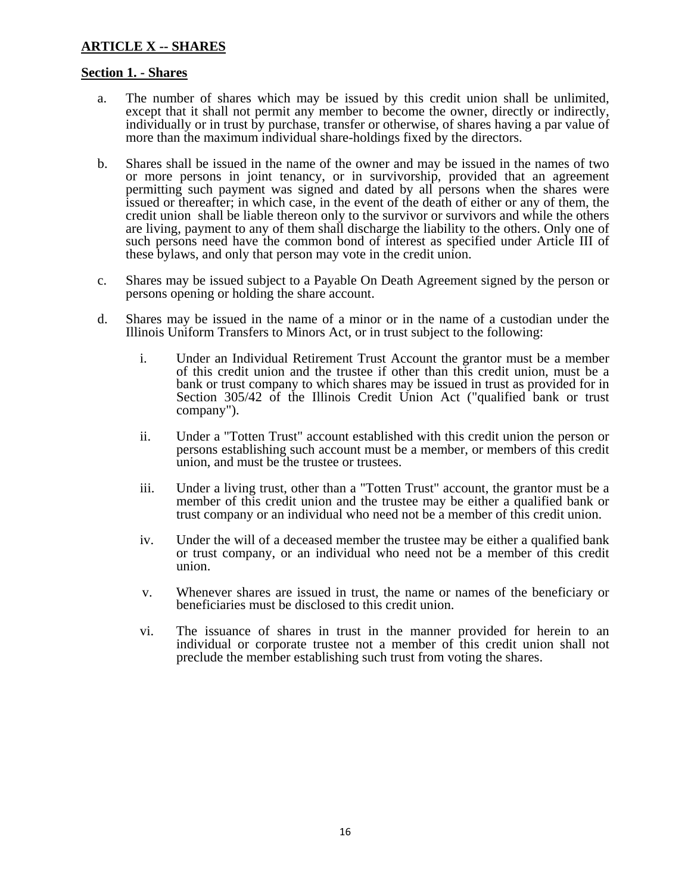# **ARTICLE X -- SHARES**

### **Section 1. - Shares**

- a. The number of shares which may be issued by this credit union shall be unlimited, except that it shall not permit any member to become the owner, directly or indirectly, individually or in trust by purchase, transfer or otherwise, of shares having a par value of more than the maximum individual share-holdings fixed by the directors.
- b. Shares shall be issued in the name of the owner and may be issued in the names of two or more persons in joint tenancy, or in survivorship, provided that an agreement permitting such payment was signed and dated by all persons when the shares were issued or thereafter; in which case, in the event of the death of either or any of them, the credit union shall be liable thereon only to the survivor or survivors and while the others are living, payment to any of them shall discharge the liability to the others. Only one of such persons need have the common bond of interest as specified under Article III of these bylaws, and only that person may vote in the credit union.
- c. Shares may be issued subject to a Payable On Death Agreement signed by the person or persons opening or holding the share account.
- d. Shares may be issued in the name of a minor or in the name of a custodian under the Illinois Uniform Transfers to Minors Act, or in trust subject to the following:
	- i. Under an Individual Retirement Trust Account the grantor must be a member of this credit union and the trustee if other than this credit union, must be a bank or trust company to which shares may be issued in trust as provided for in Section 305/42 of the Illinois Credit Union Act ("qualified bank or trust company").
	- ii. Under a "Totten Trust" account established with this credit union the person or persons establishing such account must be a member, or members of this credit union, and must be the trustee or trustees.
	- iii. Under a living trust, other than a "Totten Trust" account, the grantor must be a member of this credit union and the trustee may be either a qualified bank or trust company or an individual who need not be a member of this credit union.
	- iv. Under the will of a deceased member the trustee may be either a qualified bank or trust company, or an individual who need not be a member of this credit union.
	- v. Whenever shares are issued in trust, the name or names of the beneficiary or beneficiaries must be disclosed to this credit union.
	- vi. The issuance of shares in trust in the manner provided for herein to an individual or corporate trustee not a member of this credit union shall not preclude the member establishing such trust from voting the shares.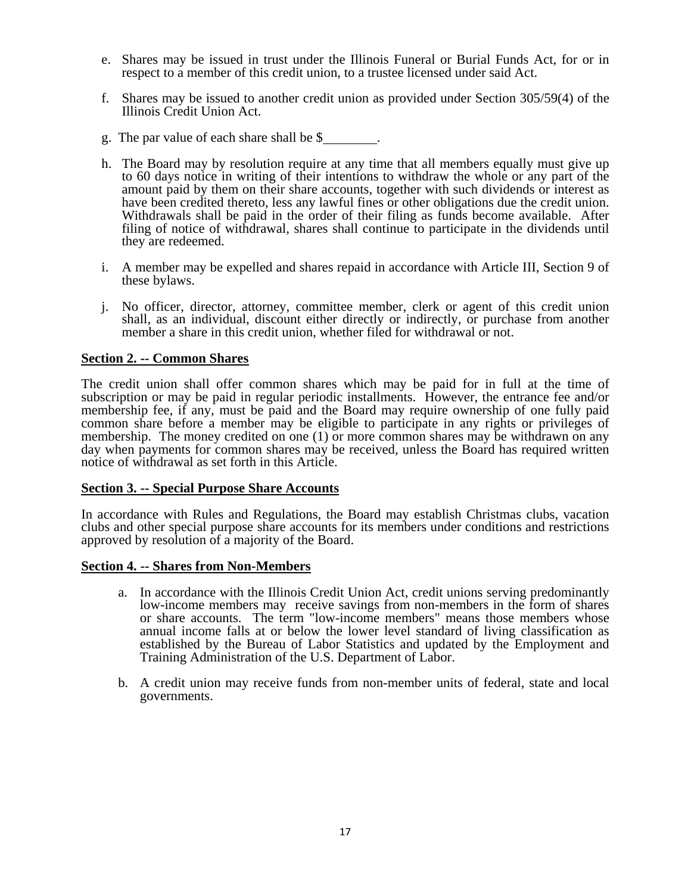- e. Shares may be issued in trust under the Illinois Funeral or Burial Funds Act, for or in respect to a member of this credit union, to a trustee licensed under said Act.
- f. Shares may be issued to another credit union as provided under Section 305/59(4) of the Illinois Credit Union Act.
- g. The par value of each share shall be \$ .
- h. The Board may by resolution require at any time that all members equally must give up to 60 days notice in writing of their intentions to withdraw the whole or any part of the amount paid by them on their share accounts, together with such dividends or interest as have been credited thereto, less any lawful fines or other obligations due the credit union. Withdrawals shall be paid in the order of their filing as funds become available. After filing of notice of withdrawal, shares shall continue to participate in the dividends until they are redeemed.
- i. A member may be expelled and shares repaid in accordance with Article III, Section 9 of these bylaws.
- j. No officer, director, attorney, committee member, clerk or agent of this credit union shall, as an individual, discount either directly or indirectly, or purchase from another member a share in this credit union, whether filed for withdrawal or not.

### **Section 2. -- Common Shares**

The credit union shall offer common shares which may be paid for in full at the time of subscription or may be paid in regular periodic installments. However, the entrance fee and/or membership fee, if any, must be paid and the Board may require ownership of one fully paid common share before a member may be eligible to participate in any rights or privileges of membership. The money credited on one (1) or more common shares may be withdrawn on any day when payments for common shares may be received, unless the Board has required written notice of withdrawal as set forth in this Article.

### **Section 3. -- Special Purpose Share Accounts**

In accordance with Rules and Regulations, the Board may establish Christmas clubs, vacation clubs and other special purpose share accounts for its members under conditions and restrictions approved by resolution of a majority of the Board.

### **Section 4. -- Shares from Non-Members**

- a. In accordance with the Illinois Credit Union Act, credit unions serving predominantly low-income members may receive savings from non-members in the form of shares or share accounts. The term "low-income members" means those members whose annual income falls at or below the lower level standard of living classification as established by the Bureau of Labor Statistics and updated by the Employment and Training Administration of the U.S. Department of Labor.
- b. A credit union may receive funds from non-member units of federal, state and local governments.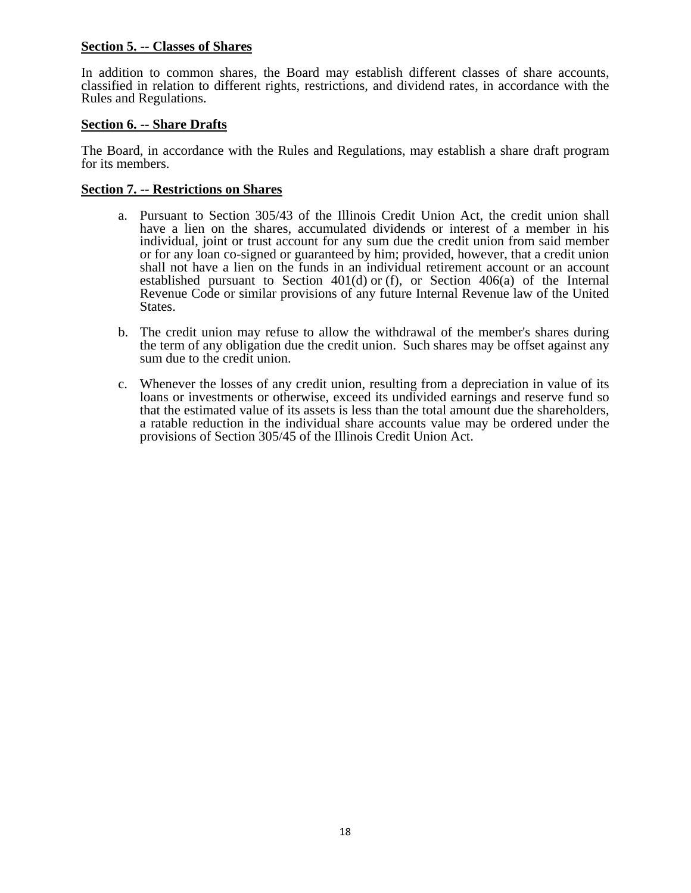## **Section 5. -- Classes of Shares**

In addition to common shares, the Board may establish different classes of share accounts, classified in relation to different rights, restrictions, and dividend rates, in accordance with the Rules and Regulations.

## **Section 6. -- Share Drafts**

The Board, in accordance with the Rules and Regulations, may establish a share draft program for its members.

### **Section 7. -- Restrictions on Shares**

- a. Pursuant to Section 305/43 of the Illinois Credit Union Act, the credit union shall have a lien on the shares, accumulated dividends or interest of a member in his individual, joint or trust account for any sum due the credit union from said member or for any loan co-signed or guaranteed by him; provided, however, that a credit union shall not have a lien on the funds in an individual retirement account or an account established pursuant to Section  $401(d)$  or (f), or Section  $406(a)$  of the Internal Revenue Code or similar provisions of any future Internal Revenue law of the United States.
- b. The credit union may refuse to allow the withdrawal of the member's shares during the term of any obligation due the credit union. Such shares may be offset against any sum due to the credit union.
- c. Whenever the losses of any credit union, resulting from a depreciation in value of its loans or investments or otherwise, exceed its undivided earnings and reserve fund so that the estimated value of its assets is less than the total amount due the shareholders, a ratable reduction in the individual share accounts value may be ordered under the provisions of Section 305/45 of the Illinois Credit Union Act.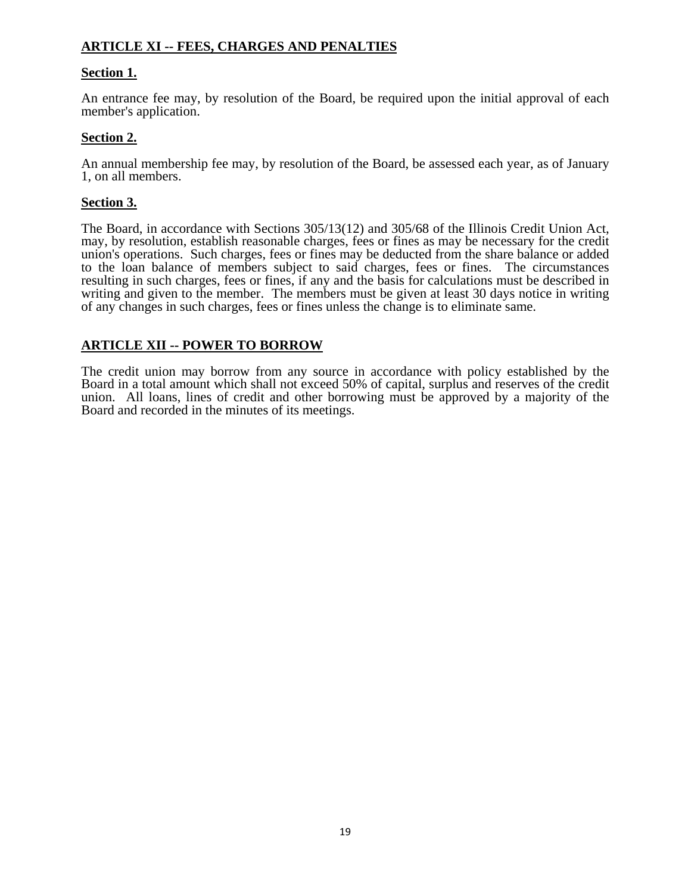# **ARTICLE XI -- FEES, CHARGES AND PENALTIES**

# **Section 1.**

An entrance fee may, by resolution of the Board, be required upon the initial approval of each member's application.

## **Section 2.**

An annual membership fee may, by resolution of the Board, be assessed each year, as of January 1, on all members.

## **Section 3.**

The Board, in accordance with Sections 305/13(12) and 305/68 of the Illinois Credit Union Act, may, by resolution, establish reasonable charges, fees or fines as may be necessary for the credit union's operations. Such charges, fees or fines may be deducted from the share balance or added to the loan balance of members subject to said charges, fees or fines. The circumstances resulting in such charges, fees or fines, if any and the basis for calculations must be described in writing and given to the member. The members must be given at least 30 days notice in writing of any changes in such charges, fees or fines unless the change is to eliminate same.

## **ARTICLE XII -- POWER TO BORROW**

The credit union may borrow from any source in accordance with policy established by the Board in a total amount which shall not exceed 50% of capital, surplus and reserves of the credit union. All loans, lines of credit and other borrowing must be approved by a majority of the Board and recorded in the minutes of its meetings.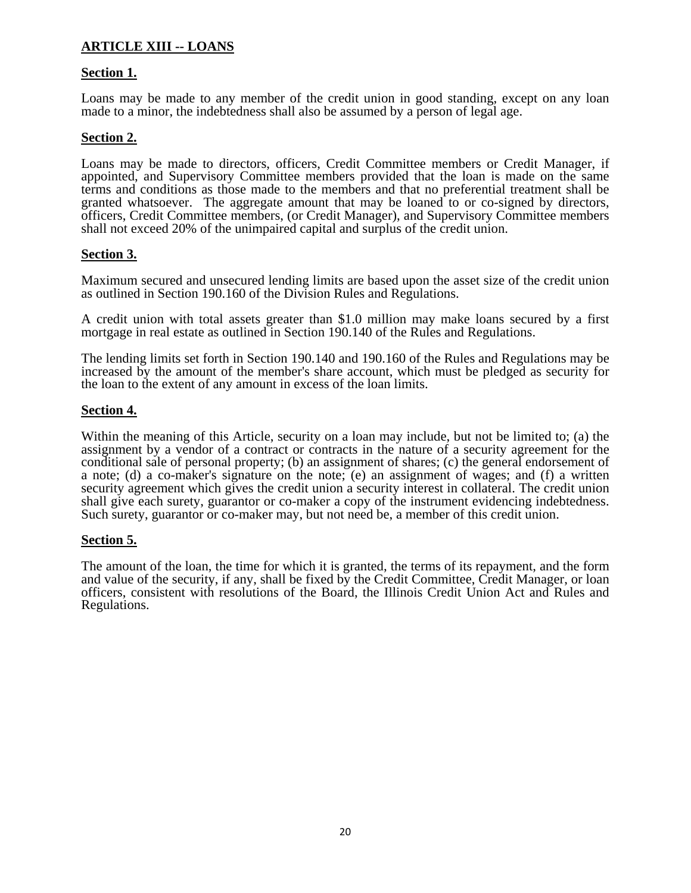# **ARTICLE XIII -- LOANS**

## **Section 1.**

Loans may be made to any member of the credit union in good standing, except on any loan made to a minor, the indebtedness shall also be assumed by a person of legal age.

## **Section 2.**

Loans may be made to directors, officers, Credit Committee members or Credit Manager, if appointed, and Supervisory Committee members provided that the loan is made on the same terms and conditions as those made to the members and that no preferential treatment shall be granted whatsoever. The aggregate amount that may be loaned to or co-signed by directors, officers, Credit Committee members, (or Credit Manager), and Supervisory Committee members shall not exceed 20% of the unimpaired capital and surplus of the credit union.

## **Section 3.**

Maximum secured and unsecured lending limits are based upon the asset size of the credit union as outlined in Section 190.160 of the Division Rules and Regulations.

A credit union with total assets greater than \$1.0 million may make loans secured by a first mortgage in real estate as outlined in Section 190.140 of the Rules and Regulations.

The lending limits set forth in Section 190.140 and 190.160 of the Rules and Regulations may be increased by the amount of the member's share account, which must be pledged as security for the loan to the extent of any amount in excess of the loan limits.

## **Section 4.**

Within the meaning of this Article, security on a loan may include, but not be limited to; (a) the assignment by a vendor of a contract or contracts in the nature of a security agreement for the conditional sale of personal property; (b) an assignment of shares; (c) the general endorsement of a note; (d) a co-maker's signature on the note; (e) an assignment of wages; and (f) a written security agreement which gives the credit union a security interest in collateral. The credit union shall give each surety, guarantor or co-maker a copy of the instrument evidencing indebtedness. Such surety, guarantor or co-maker may, but not need be, a member of this credit union.

### **Section 5.**

The amount of the loan, the time for which it is granted, the terms of its repayment, and the form and value of the security, if any, shall be fixed by the Credit Committee, Credit Manager, or loan officers, consistent with resolutions of the Board, the Illinois Credit Union Act and Rules and Regulations.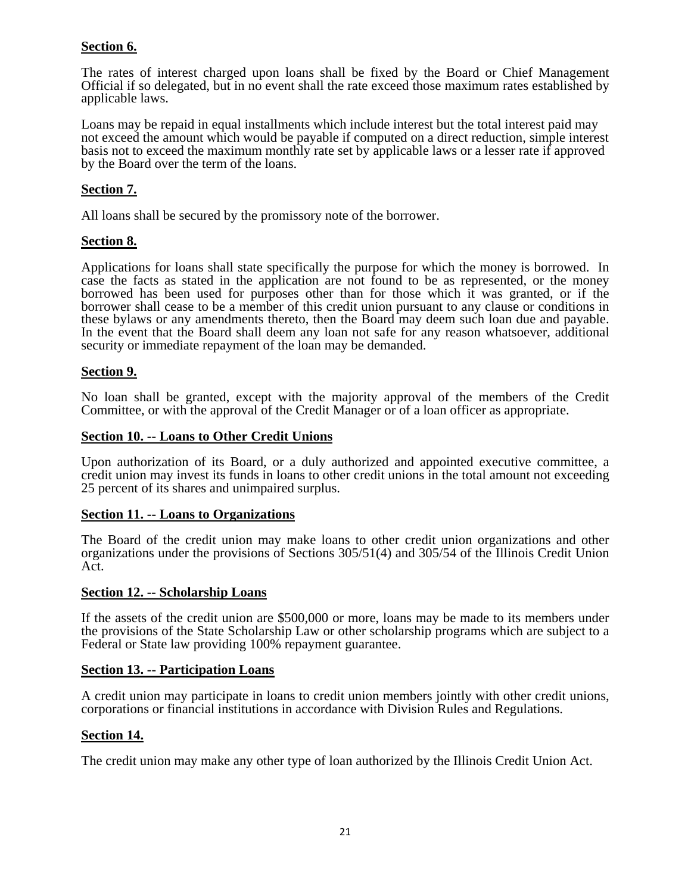# **Section 6.**

The rates of interest charged upon loans shall be fixed by the Board or Chief Management Official if so delegated, but in no event shall the rate exceed those maximum rates established by applicable laws.

Loans may be repaid in equal installments which include interest but the total interest paid may not exceed the amount which would be payable if computed on a direct reduction, simple interest basis not to exceed the maximum monthly rate set by applicable laws or a lesser rate if approved by the Board over the term of the loans.

# **Section 7.**

All loans shall be secured by the promissory note of the borrower.

## **Section 8.**

Applications for loans shall state specifically the purpose for which the money is borrowed. In case the facts as stated in the application are not found to be as represented, or the money borrowed has been used for purposes other than for those which it was granted, or if the borrower shall cease to be a member of this credit union pursuant to any clause or conditions in these bylaws or any amendments thereto, then the Board may deem such loan due and payable. In the event that the Board shall deem any loan not safe for any reason whatsoever, additional security or immediate repayment of the loan may be demanded.

## **Section 9.**

No loan shall be granted, except with the majority approval of the members of the Credit Committee, or with the approval of the Credit Manager or of a loan officer as appropriate.

## **Section 10. -- Loans to Other Credit Unions**

Upon authorization of its Board, or a duly authorized and appointed executive committee, a credit union may invest its funds in loans to other credit unions in the total amount not exceeding 25 percent of its shares and unimpaired surplus.

## **Section 11. -- Loans to Organizations**

The Board of the credit union may make loans to other credit union organizations and other organizations under the provisions of Sections 305/51(4) and 305/54 of the Illinois Credit Union Act.

### **Section 12. -- Scholarship Loans**

If the assets of the credit union are \$500,000 or more, loans may be made to its members under the provisions of the State Scholarship Law or other scholarship programs which are subject to a Federal or State law providing 100% repayment guarantee.

### **Section 13. -- Participation Loans**

A credit union may participate in loans to credit union members jointly with other credit unions, corporations or financial institutions in accordance with Division Rules and Regulations.

### **Section 14.**

The credit union may make any other type of loan authorized by the Illinois Credit Union Act.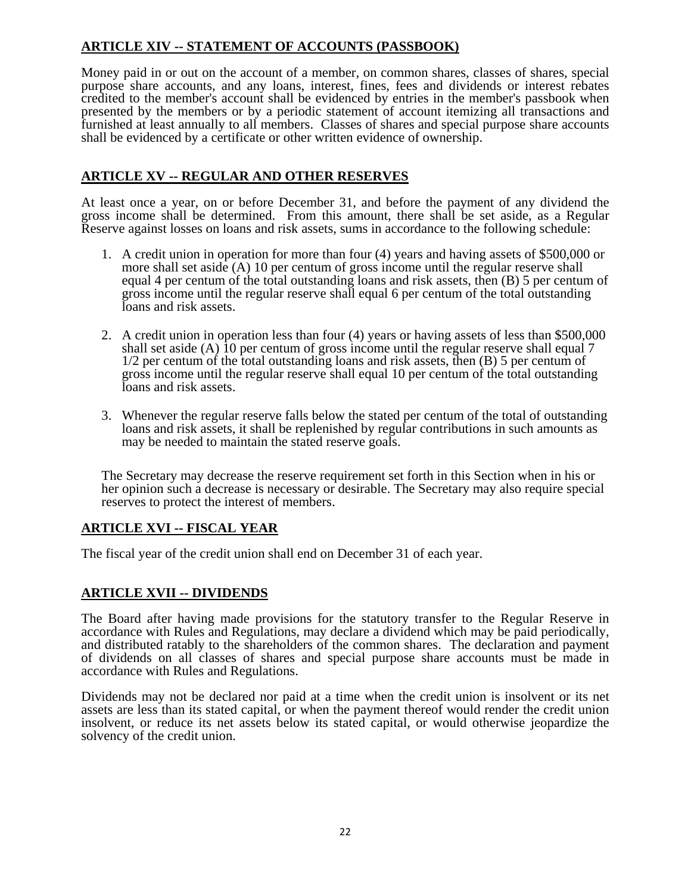# **ARTICLE XIV -- STATEMENT OF ACCOUNTS (PASSBOOK)**

Money paid in or out on the account of a member, on common shares, classes of shares, special purpose share accounts, and any loans, interest, fines, fees and dividends or interest rebates credited to the member's account shall be evidenced by entries in the member's passbook when presented by the members or by a periodic statement of account itemizing all transactions and furnished at least annually to all members. Classes of shares and special purpose share accounts shall be evidenced by a certificate or other written evidence of ownership.

# **ARTICLE XV -- REGULAR AND OTHER RESERVES**

At least once a year, on or before December 31, and before the payment of any dividend the gross income shall be determined. From this amount, there shall be set aside, as a Regular Reserve against losses on loans and risk assets, sums in accordance to the following schedule:

- 1. A credit union in operation for more than four (4) years and having assets of \$500,000 or more shall set aside (A) 10 per centum of gross income until the regular reserve shall equal 4 per centum of the total outstanding loans and risk assets, then (B) 5 per centum of gross income until the regular reserve shall equal 6 per centum of the total outstanding loans and risk assets.
- 2. A credit union in operation less than four (4) years or having assets of less than \$500,000 shall set aside (A) 10 per centum of gross income until the regular reserve shall equal 7 1/2 per centum of the total outstanding loans and risk assets, then (B) 5 per centum of gross income until the regular reserve shall equal 10 per centum of the total outstanding loans and risk assets.
- 3. Whenever the regular reserve falls below the stated per centum of the total of outstanding loans and risk assets, it shall be replenished by regular contributions in such amounts as may be needed to maintain the stated reserve goals.

The Secretary may decrease the reserve requirement set forth in this Section when in his or her opinion such a decrease is necessary or desirable. The Secretary may also require special reserves to protect the interest of members.

# **ARTICLE XVI -- FISCAL YEAR**

The fiscal year of the credit union shall end on December 31 of each year.

# **ARTICLE XVII -- DIVIDENDS**

The Board after having made provisions for the statutory transfer to the Regular Reserve in accordance with Rules and Regulations, may declare a dividend which may be paid periodically, and distributed ratably to the shareholders of the common shares. The declaration and payment of dividends on all classes of shares and special purpose share accounts must be made in accordance with Rules and Regulations.

Dividends may not be declared nor paid at a time when the credit union is insolvent or its net assets are less than its stated capital, or when the payment thereof would render the credit union insolvent, or reduce its net assets below its stated capital, or would otherwise jeopardize the solvency of the credit union.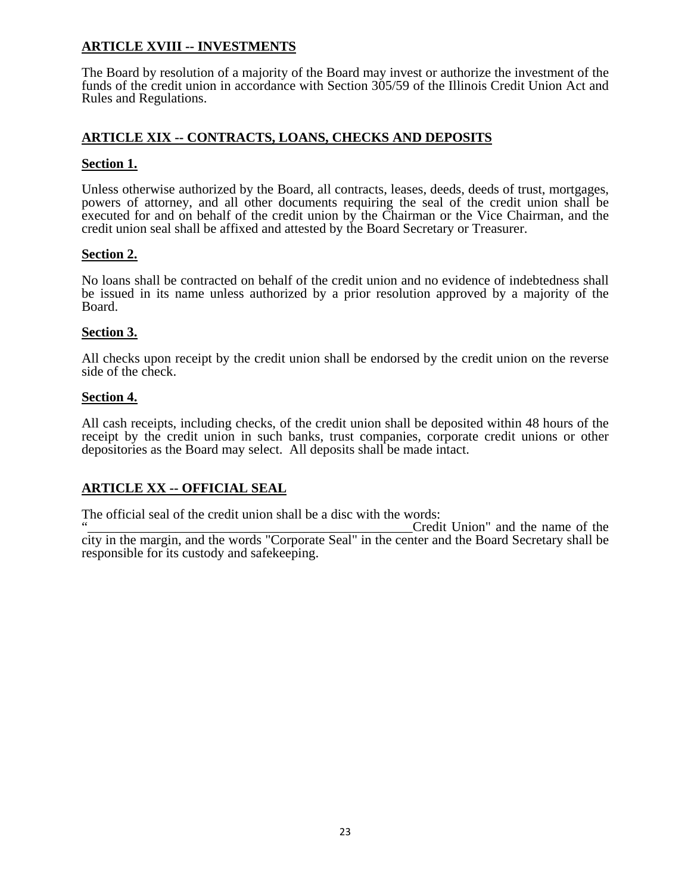# **ARTICLE XVIII -- INVESTMENTS**

The Board by resolution of a majority of the Board may invest or authorize the investment of the funds of the credit union in accordance with Section 305/59 of the Illinois Credit Union Act and Rules and Regulations.

# **ARTICLE XIX -- CONTRACTS, LOANS, CHECKS AND DEPOSITS**

## **Section 1.**

Unless otherwise authorized by the Board, all contracts, leases, deeds, deeds of trust, mortgages, powers of attorney, and all other documents requiring the seal of the credit union shall be executed for and on behalf of the credit union by the Chairman or the Vice Chairman, and the credit union seal shall be affixed and attested by the Board Secretary or Treasurer.

# **Section 2.**

No loans shall be contracted on behalf of the credit union and no evidence of indebtedness shall be issued in its name unless authorized by a prior resolution approved by a majority of the Board.

# **Section 3.**

All checks upon receipt by the credit union shall be endorsed by the credit union on the reverse side of the check.

## **Section 4.**

All cash receipts, including checks, of the credit union shall be deposited within 48 hours of the receipt by the credit union in such banks, trust companies, corporate credit unions or other depositories as the Board may select. All deposits shall be made intact.

# **ARTICLE XX -- OFFICIAL SEAL**

The official seal of the credit union shall be a disc with the words:

Credit Union" and the name of the city in the margin, and the words "Corporate Seal" in the center and the Board Secretary shall be responsible for its custody and safekeeping.